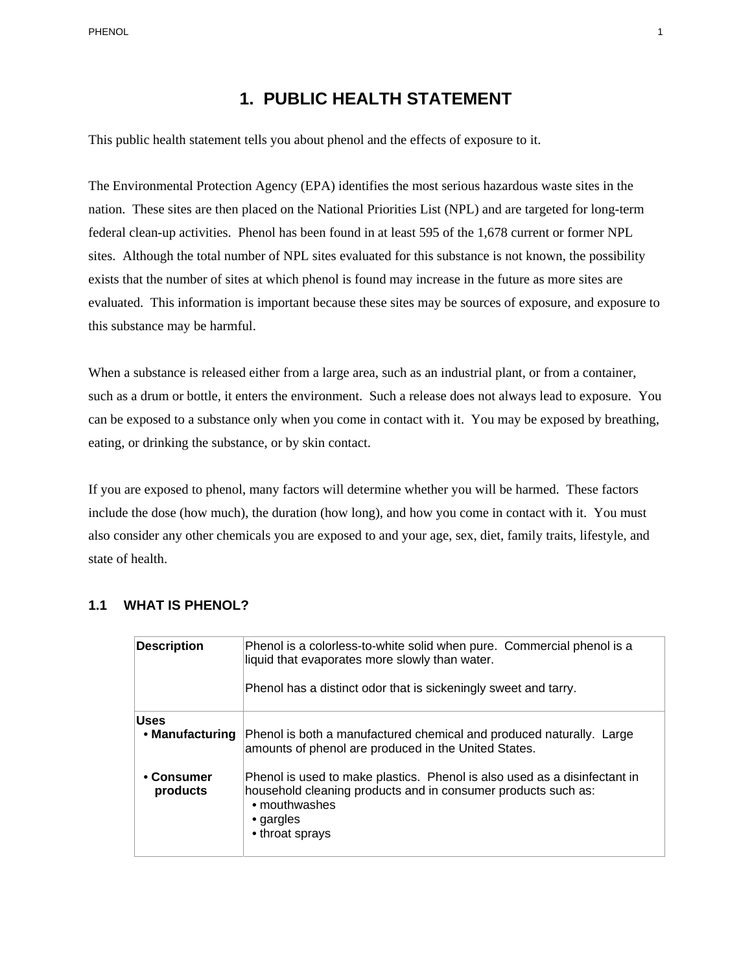PHENOL 1

## **1. PUBLIC HEALTH STATEMENT**

This public health statement tells you about phenol and the effects of exposure to it.

The Environmental Protection Agency (EPA) identifies the most serious hazardous waste sites in the nation. These sites are then placed on the National Priorities List (NPL) and are targeted for long-term federal clean-up activities. Phenol has been found in at least 595 of the 1,678 current or former NPL sites. Although the total number of NPL sites evaluated for this substance is not known, the possibility exists that the number of sites at which phenol is found may increase in the future as more sites are evaluated. This information is important because these sites may be sources of exposure, and exposure to this substance may be harmful.

When a substance is released either from a large area, such as an industrial plant, or from a container, such as a drum or bottle, it enters the environment. Such a release does not always lead to exposure. You can be exposed to a substance only when you come in contact with it. You may be exposed by breathing, eating, or drinking the substance, or by skin contact.

If you are exposed to phenol, many factors will determine whether you will be harmed. These factors include the dose (how much), the duration (how long), and how you come in contact with it. You must also consider any other chemicals you are exposed to and your age, sex, diet, family traits, lifestyle, and state of health.

#### **1.1 WHAT IS PHENOL?**

| <b>Description</b>             | Phenol is a colorless-to-white solid when pure. Commercial phenol is a<br>liquid that evaporates more slowly than water.<br>Phenol has a distinct odor that is sickeningly sweet and tarry.         |
|--------------------------------|-----------------------------------------------------------------------------------------------------------------------------------------------------------------------------------------------------|
|                                |                                                                                                                                                                                                     |
| <b>Uses</b><br>• Manufacturing | Phenol is both a manufactured chemical and produced naturally. Large<br>amounts of phenol are produced in the United States.                                                                        |
| • Consumer<br>products         | Phenol is used to make plastics. Phenol is also used as a disinfectant in<br>household cleaning products and in consumer products such as:<br>• mouthwashes<br>$\bullet$ gargles<br>• throat sprays |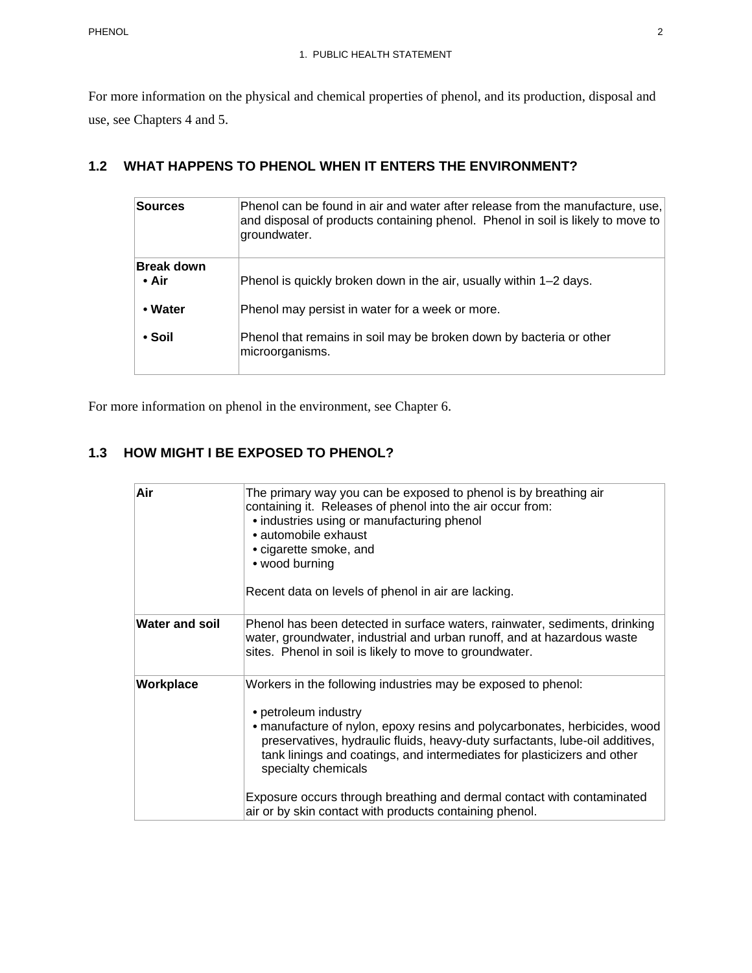For more information on the physical and chemical properties of phenol, and its production, disposal and use, see Chapters 4 and 5.

## **1.2 WHAT HAPPENS TO PHENOL WHEN IT ENTERS THE ENVIRONMENT?**

| <b>Sources</b>             | Phenol can be found in air and water after release from the manufacture, use,<br>and disposal of products containing phenol. Phenol in soil is likely to move to<br>groundwater. |
|----------------------------|----------------------------------------------------------------------------------------------------------------------------------------------------------------------------------|
| <b>Break down</b><br>• Air | Phenol is quickly broken down in the air, usually within 1–2 days.                                                                                                               |
| • Water                    | Phenol may persist in water for a week or more.                                                                                                                                  |
| • Soil                     | Phenol that remains in soil may be broken down by bacteria or other<br>microorganisms.                                                                                           |

For more information on phenol in the environment, see Chapter 6.

# **1.3 HOW MIGHT I BE EXPOSED TO PHENOL?**

| Air                   | The primary way you can be exposed to phenol is by breathing air<br>containing it. Releases of phenol into the air occur from:<br>• industries using or manufacturing phenol<br>• automobile exhaust<br>• cigarette smoke, and<br>• wood burning<br>Recent data on levels of phenol in air are lacking.                                                                                                                                                                                   |
|-----------------------|-------------------------------------------------------------------------------------------------------------------------------------------------------------------------------------------------------------------------------------------------------------------------------------------------------------------------------------------------------------------------------------------------------------------------------------------------------------------------------------------|
| <b>Water and soil</b> | Phenol has been detected in surface waters, rainwater, sediments, drinking<br>water, groundwater, industrial and urban runoff, and at hazardous waste<br>sites. Phenol in soil is likely to move to groundwater.                                                                                                                                                                                                                                                                          |
| Workplace             | Workers in the following industries may be exposed to phenol:<br>• petroleum industry<br>• manufacture of nylon, epoxy resins and polycarbonates, herbicides, wood<br>preservatives, hydraulic fluids, heavy-duty surfactants, lube-oil additives,<br>tank linings and coatings, and intermediates for plasticizers and other<br>specialty chemicals<br>Exposure occurs through breathing and dermal contact with contaminated<br>air or by skin contact with products containing phenol. |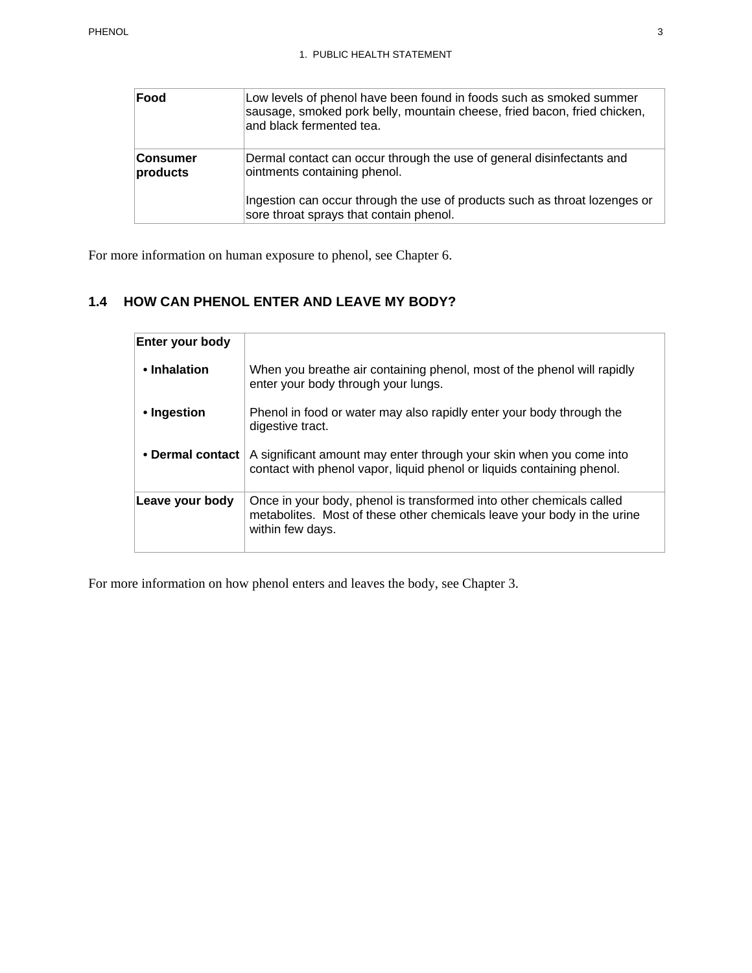| Food                        | Low levels of phenol have been found in foods such as smoked summer<br>sausage, smoked pork belly, mountain cheese, fried bacon, fried chicken,<br>and black fermented tea. |
|-----------------------------|-----------------------------------------------------------------------------------------------------------------------------------------------------------------------------|
| <b>Consumer</b><br>products | Dermal contact can occur through the use of general disinfectants and<br>ointments containing phenol.                                                                       |
|                             | Ingestion can occur through the use of products such as throat lozenges or<br>sore throat sprays that contain phenol.                                                       |

For more information on human exposure to phenol, see Chapter 6.

# **1.4 HOW CAN PHENOL ENTER AND LEAVE MY BODY?**

| Enter your body  |                                                                                                                                                                     |
|------------------|---------------------------------------------------------------------------------------------------------------------------------------------------------------------|
| • Inhalation     | When you breathe air containing phenol, most of the phenol will rapidly<br>enter your body through your lungs.                                                      |
| • Ingestion      | Phenol in food or water may also rapidly enter your body through the<br>digestive tract.                                                                            |
| • Dermal contact | A significant amount may enter through your skin when you come into<br>contact with phenol vapor, liquid phenol or liquids containing phenol.                       |
| Leave your body  | Once in your body, phenol is transformed into other chemicals called<br>metabolites. Most of these other chemicals leave your body in the urine<br>within few days. |

For more information on how phenol enters and leaves the body, see Chapter 3.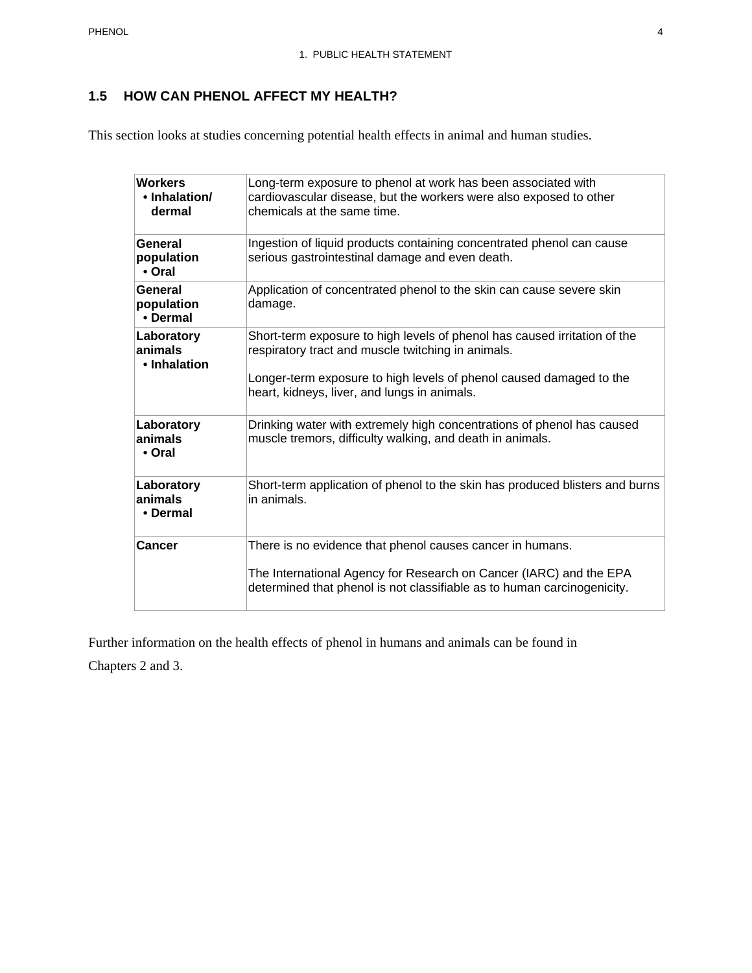## **1.5 HOW CAN PHENOL AFFECT MY HEALTH?**

This section looks at studies concerning potential health effects in animal and human studies.

| <b>Workers</b><br>• Inhalation/<br>dermal | Long-term exposure to phenol at work has been associated with<br>cardiovascular disease, but the workers were also exposed to other<br>chemicals at the same time.                                                                                     |
|-------------------------------------------|--------------------------------------------------------------------------------------------------------------------------------------------------------------------------------------------------------------------------------------------------------|
| General<br>population<br>• Oral           | Ingestion of liquid products containing concentrated phenol can cause<br>serious gastrointestinal damage and even death.                                                                                                                               |
| General<br>population<br>• Dermal         | Application of concentrated phenol to the skin can cause severe skin<br>damage.                                                                                                                                                                        |
| Laboratory<br>animals<br>• Inhalation     | Short-term exposure to high levels of phenol has caused irritation of the<br>respiratory tract and muscle twitching in animals.<br>Longer-term exposure to high levels of phenol caused damaged to the<br>heart, kidneys, liver, and lungs in animals. |
| Laboratory<br>animals<br>• Oral           | Drinking water with extremely high concentrations of phenol has caused<br>muscle tremors, difficulty walking, and death in animals.                                                                                                                    |
| Laboratory<br>animals<br>• Dermal         | Short-term application of phenol to the skin has produced blisters and burns<br>in animals.                                                                                                                                                            |
| Cancer                                    | There is no evidence that phenol causes cancer in humans.<br>The International Agency for Research on Cancer (IARC) and the EPA<br>determined that phenol is not classifiable as to human carcinogenicity.                                             |

Further information on the health effects of phenol in humans and animals can be found in

Chapters 2 and 3.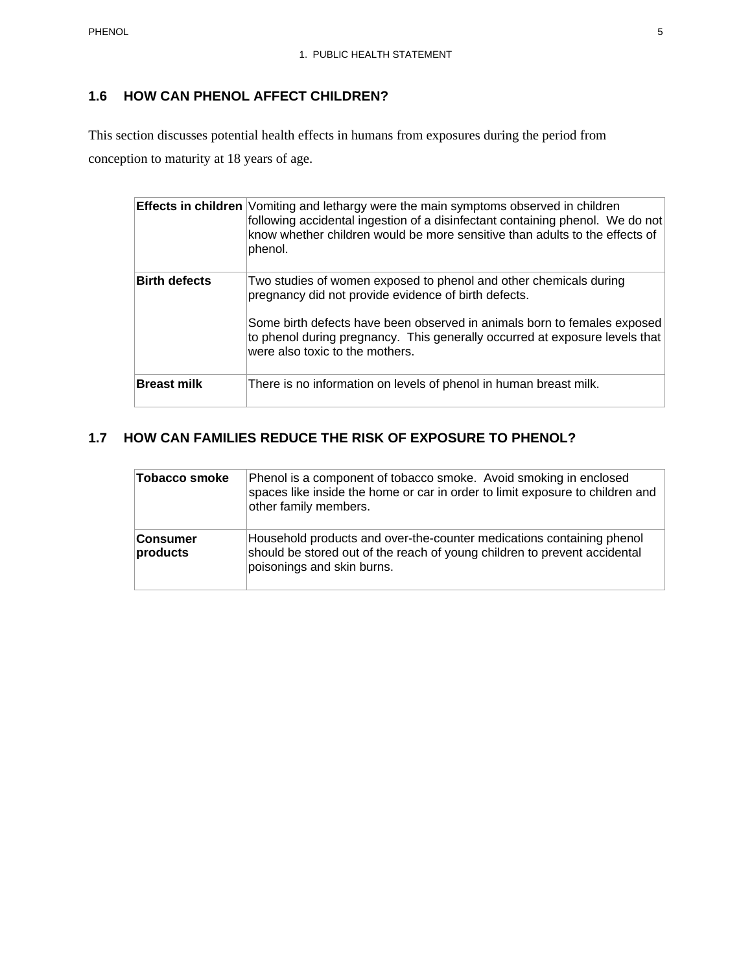## **1.6 HOW CAN PHENOL AFFECT CHILDREN?**

This section discusses potential health effects in humans from exposures during the period from conception to maturity at 18 years of age.

|                      | <b>Effects in children</b> Vomiting and lethargy were the main symptoms observed in children<br>following accidental ingestion of a disinfectant containing phenol. We do not<br>know whether children would be more sensitive than adults to the effects of<br>phenol.                                                 |
|----------------------|-------------------------------------------------------------------------------------------------------------------------------------------------------------------------------------------------------------------------------------------------------------------------------------------------------------------------|
| <b>Birth defects</b> | Two studies of women exposed to phenol and other chemicals during<br>pregnancy did not provide evidence of birth defects.<br>Some birth defects have been observed in animals born to females exposed<br>to phenol during pregnancy. This generally occurred at exposure levels that<br>were also toxic to the mothers. |
| <b>Breast milk</b>   | There is no information on levels of phenol in human breast milk.                                                                                                                                                                                                                                                       |

### **1.7 HOW CAN FAMILIES REDUCE THE RISK OF EXPOSURE TO PHENOL?**

| <b>Tobacco smoke</b>        | Phenol is a component of tobacco smoke. Avoid smoking in enclosed<br>spaces like inside the home or car in order to limit exposure to children and<br>other family members.      |
|-----------------------------|----------------------------------------------------------------------------------------------------------------------------------------------------------------------------------|
| <b>Consumer</b><br>products | Household products and over-the-counter medications containing phenol<br>should be stored out of the reach of young children to prevent accidental<br>poisonings and skin burns. |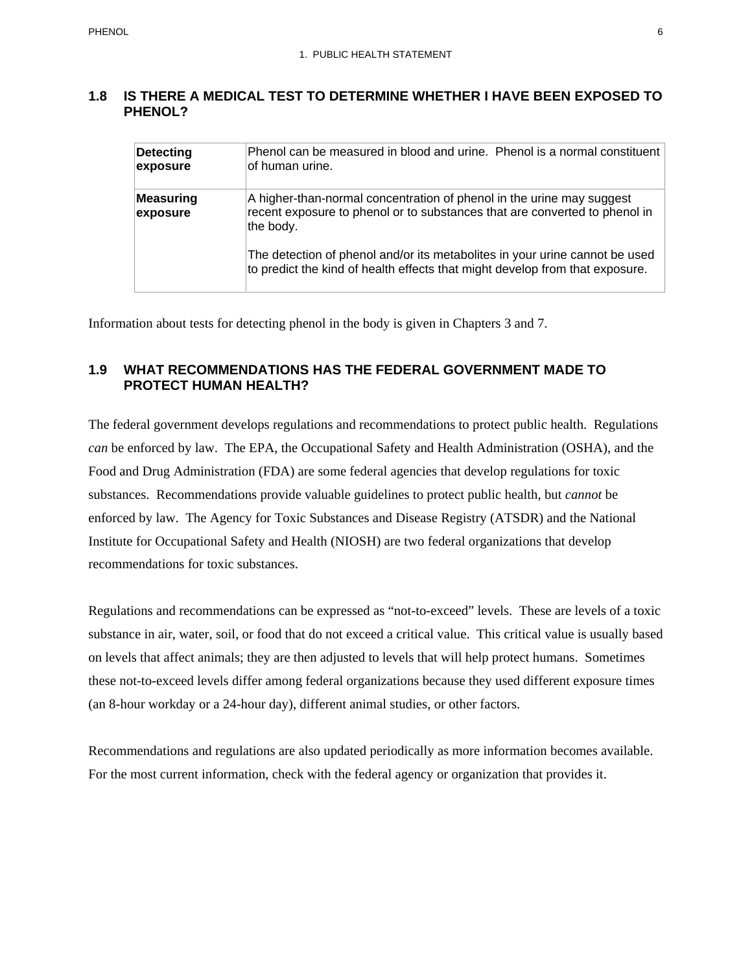#### **1.8 IS THERE A MEDICAL TEST TO DETERMINE WHETHER I HAVE BEEN EXPOSED TO PHENOL?**

| Detecting<br>exposure | Phenol can be measured in blood and urine. Phenol is a normal constituent<br>lof human urine.                                                                    |
|-----------------------|------------------------------------------------------------------------------------------------------------------------------------------------------------------|
| Measuring<br>exposure | A higher-than-normal concentration of phenol in the urine may suggest<br>recent exposure to phenol or to substances that are converted to phenol in<br>the body. |
|                       | The detection of phenol and/or its metabolites in your urine cannot be used<br>to predict the kind of health effects that might develop from that exposure.      |

Information about tests for detecting phenol in the body is given in Chapters 3 and 7.

### **1.9 WHAT RECOMMENDATIONS HAS THE FEDERAL GOVERNMENT MADE TO PROTECT HUMAN HEALTH?**

The federal government develops regulations and recommendations to protect public health. Regulations *can* be enforced by law. The EPA, the Occupational Safety and Health Administration (OSHA), and the Food and Drug Administration (FDA) are some federal agencies that develop regulations for toxic substances. Recommendations provide valuable guidelines to protect public health, but *cannot* be enforced by law. The Agency for Toxic Substances and Disease Registry (ATSDR) and the National Institute for Occupational Safety and Health (NIOSH) are two federal organizations that develop recommendations for toxic substances.

Regulations and recommendations can be expressed as "not-to-exceed" levels. These are levels of a toxic substance in air, water, soil, or food that do not exceed a critical value. This critical value is usually based on levels that affect animals; they are then adjusted to levels that will help protect humans. Sometimes these not-to-exceed levels differ among federal organizations because they used different exposure times (an 8-hour workday or a 24-hour day), different animal studies, or other factors.

Recommendations and regulations are also updated periodically as more information becomes available. For the most current information, check with the federal agency or organization that provides it.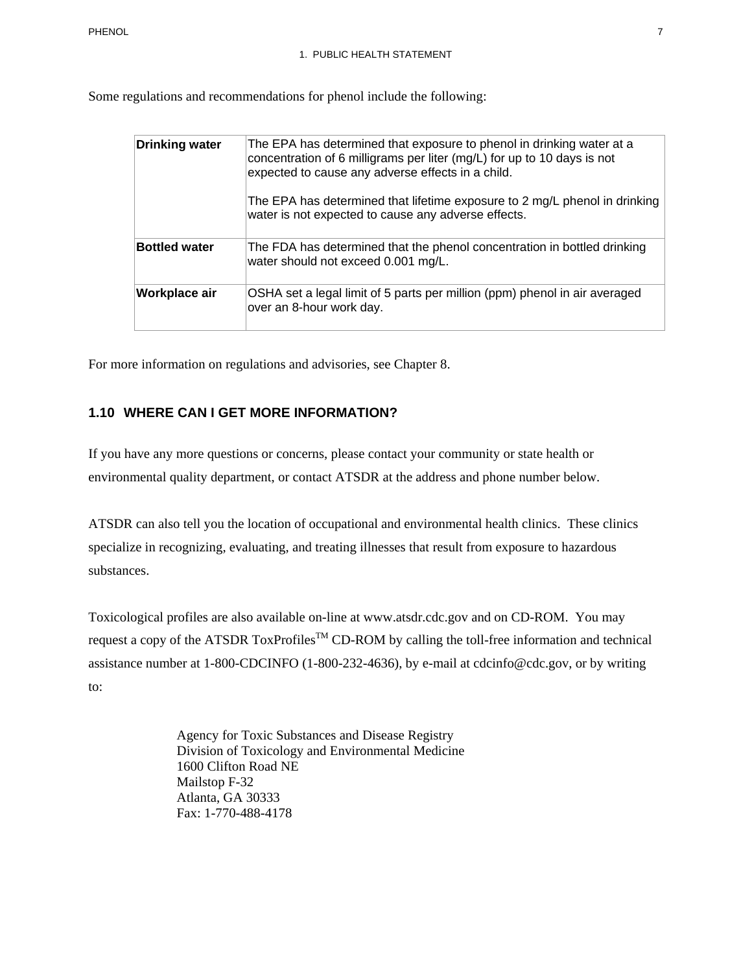Some regulations and recommendations for phenol include the following:

| <b>Drinking water</b> | The EPA has determined that exposure to phenol in drinking water at a<br>concentration of 6 milligrams per liter (mg/L) for up to 10 days is not<br>expected to cause any adverse effects in a child.<br>The EPA has determined that lifetime exposure to 2 mg/L phenol in drinking<br>water is not expected to cause any adverse effects. |
|-----------------------|--------------------------------------------------------------------------------------------------------------------------------------------------------------------------------------------------------------------------------------------------------------------------------------------------------------------------------------------|
| <b>Bottled water</b>  | The FDA has determined that the phenol concentration in bottled drinking<br>water should not exceed 0.001 mg/L.                                                                                                                                                                                                                            |
| Workplace air         | OSHA set a legal limit of 5 parts per million (ppm) phenol in air averaged<br>over an 8-hour work day.                                                                                                                                                                                                                                     |

For more information on regulations and advisories, see Chapter 8.

#### **1.10 WHERE CAN I GET MORE INFORMATION?**

If you have any more questions or concerns, please contact your community or state health or environmental quality department, or contact ATSDR at the address and phone number below.

ATSDR can also tell you the location of occupational and environmental health clinics. These clinics specialize in recognizing, evaluating, and treating illnesses that result from exposure to hazardous substances.

Toxicological profiles are also available on-line at www.atsdr.cdc.gov and on CD-ROM. You may request a copy of the ATSDR ToxProfiles<sup>TM</sup> CD-ROM by calling the toll-free information and technical assistance number at 1-800-CDCINFO (1-800-232-4636), by e-mail at cdcinfo@cdc.gov, or by writing to:

> Agency for Toxic Substances and Disease Registry Division of Toxicology and Environmental Medicine 1600 Clifton Road NE Mailstop F-32 Atlanta, GA 30333 Fax: 1-770-488-4178